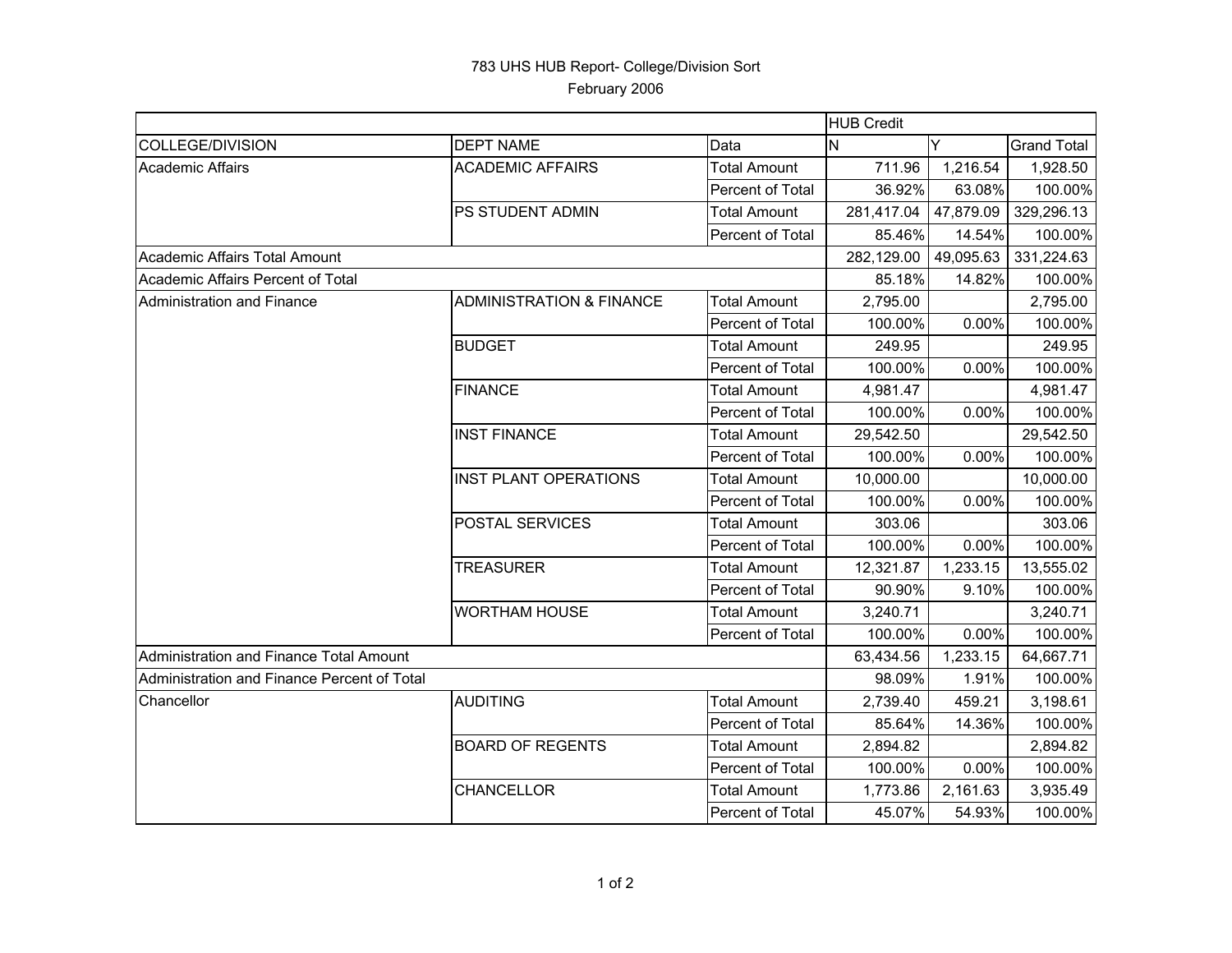## 783 UHS HUB Report- College/Division Sort February 2006

|                                             |                                     | <b>HUB Credit</b>   |            |           |                    |
|---------------------------------------------|-------------------------------------|---------------------|------------|-----------|--------------------|
| <b>COLLEGE/DIVISION</b>                     | <b>DEPT NAME</b>                    | Data                | Y<br>N     |           | <b>Grand Total</b> |
| <b>Academic Affairs</b>                     | <b>ACADEMIC AFFAIRS</b>             | <b>Total Amount</b> | 711.96     | 1,216.54  | 1,928.50           |
|                                             |                                     | Percent of Total    | 36.92%     | 63.08%    | 100.00%            |
|                                             | PS STUDENT ADMIN                    | <b>Total Amount</b> | 281,417.04 | 47,879.09 | 329,296.13         |
|                                             |                                     | Percent of Total    | 85.46%     | 14.54%    | 100.00%            |
| Academic Affairs Total Amount               |                                     |                     | 282,129.00 | 49,095.63 | 331,224.63         |
| Academic Affairs Percent of Total           |                                     |                     | 85.18%     | 14.82%    | 100.00%            |
| Administration and Finance                  | <b>ADMINISTRATION &amp; FINANCE</b> | <b>Total Amount</b> | 2,795.00   |           | 2,795.00           |
|                                             |                                     | Percent of Total    | 100.00%    | 0.00%     | 100.00%            |
|                                             | <b>BUDGET</b>                       | <b>Total Amount</b> | 249.95     |           | 249.95             |
|                                             |                                     | Percent of Total    | 100.00%    | 0.00%     | 100.00%            |
|                                             | <b>FINANCE</b>                      | <b>Total Amount</b> | 4,981.47   |           | 4,981.47           |
|                                             |                                     | Percent of Total    | 100.00%    | 0.00%     | 100.00%            |
|                                             | <b>INST FINANCE</b>                 | <b>Total Amount</b> | 29,542.50  |           | 29,542.50          |
|                                             |                                     | Percent of Total    | 100.00%    | 0.00%     | 100.00%            |
|                                             | <b>INST PLANT OPERATIONS</b>        | <b>Total Amount</b> | 10,000.00  |           | 10,000.00          |
|                                             |                                     | Percent of Total    | 100.00%    | $0.00\%$  | 100.00%            |
|                                             | POSTAL SERVICES                     | <b>Total Amount</b> | 303.06     |           | 303.06             |
|                                             |                                     | Percent of Total    | 100.00%    | 0.00%     | 100.00%            |
|                                             | <b>TREASURER</b>                    | <b>Total Amount</b> | 12,321.87  | 1,233.15  | 13,555.02          |
|                                             |                                     | Percent of Total    | 90.90%     | 9.10%     | 100.00%            |
|                                             | <b>WORTHAM HOUSE</b>                | <b>Total Amount</b> | 3,240.71   |           | 3,240.71           |
|                                             |                                     | Percent of Total    | 100.00%    | 0.00%     | 100.00%            |
| Administration and Finance Total Amount     |                                     |                     | 63,434.56  | 1,233.15  | 64,667.71          |
| Administration and Finance Percent of Total |                                     |                     | 98.09%     | 1.91%     | 100.00%            |
| Chancellor                                  | <b>AUDITING</b>                     | <b>Total Amount</b> | 2,739.40   | 459.21    | 3,198.61           |
|                                             |                                     | Percent of Total    | 85.64%     | 14.36%    | 100.00%            |
|                                             | <b>BOARD OF REGENTS</b>             | <b>Total Amount</b> | 2,894.82   |           | 2,894.82           |
|                                             |                                     | Percent of Total    | 100.00%    | 0.00%     | 100.00%            |
|                                             | CHANCELLOR                          | <b>Total Amount</b> | 1,773.86   | 2,161.63  | 3,935.49           |
|                                             |                                     | Percent of Total    | 45.07%     | 54.93%    | 100.00%            |